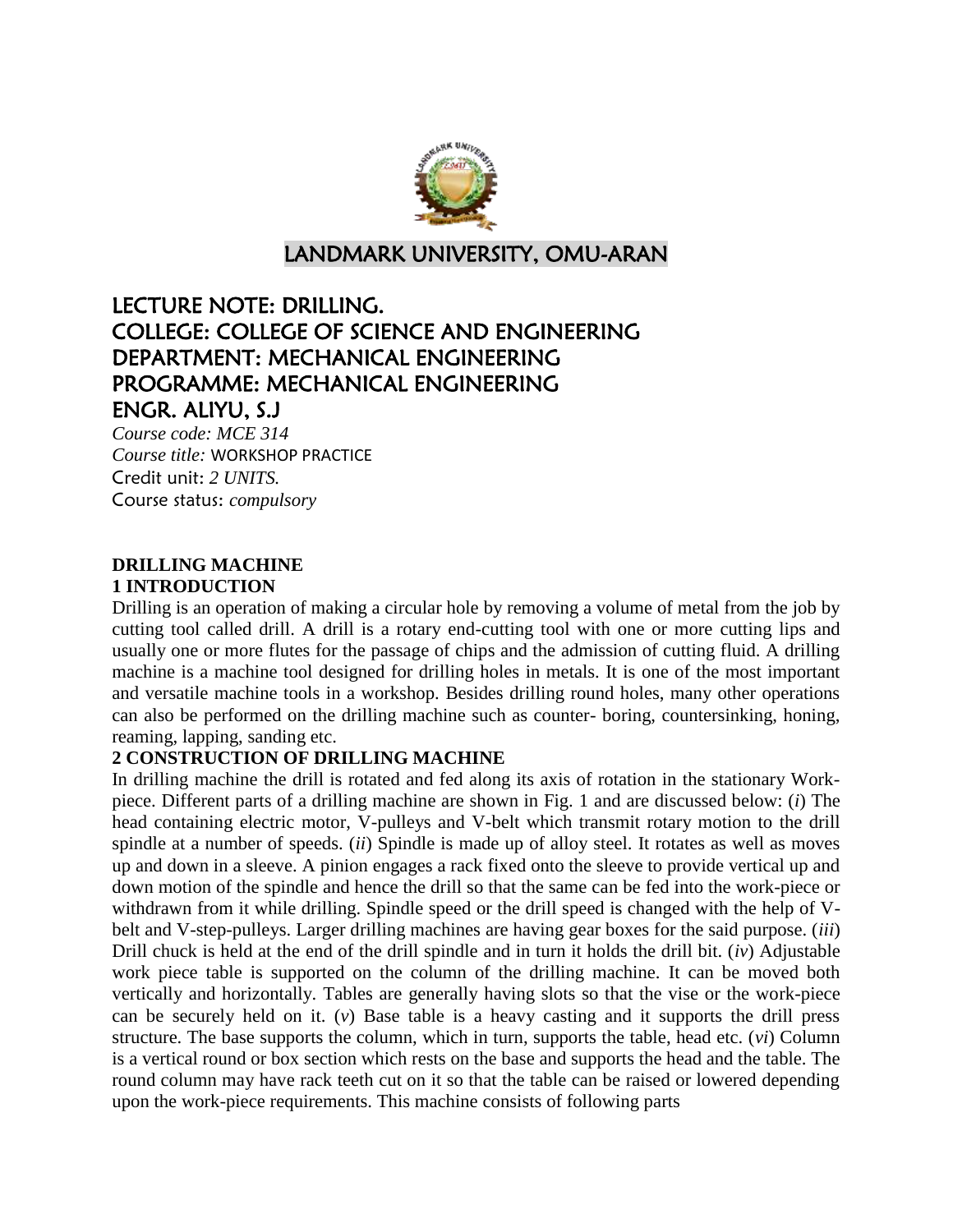

LANDMARK UNIVERSITY, OMU-ARAN

# LECTURE NOTE: DRILLING. COLLEGE: COLLEGE OF SCIENCE AND ENGINEERING DEPARTMENT: MECHANICAL ENGINEERING PROGRAMME: MECHANICAL ENGINEERING ENGR. ALIYU, S.J

*Course code: MCE 314 Course title:* WORKSHOP PRACTICE Credit unit: *2 UNITS.* Course status: *compulsory*

### **DRILLING MACHINE 1 INTRODUCTION**

Drilling is an operation of making a circular hole by removing a volume of metal from the job by cutting tool called drill. A drill is a rotary end-cutting tool with one or more cutting lips and usually one or more flutes for the passage of chips and the admission of cutting fluid. A drilling machine is a machine tool designed for drilling holes in metals. It is one of the most important and versatile machine tools in a workshop. Besides drilling round holes, many other operations can also be performed on the drilling machine such as counter- boring, countersinking, honing, reaming, lapping, sanding etc.

### **2 CONSTRUCTION OF DRILLING MACHINE**

In drilling machine the drill is rotated and fed along its axis of rotation in the stationary Workpiece. Different parts of a drilling machine are shown in Fig. 1 and are discussed below: (*i*) The head containing electric motor, V-pulleys and V-belt which transmit rotary motion to the drill spindle at a number of speeds. (*ii*) Spindle is made up of alloy steel. It rotates as well as moves up and down in a sleeve. A pinion engages a rack fixed onto the sleeve to provide vertical up and down motion of the spindle and hence the drill so that the same can be fed into the work-piece or withdrawn from it while drilling. Spindle speed or the drill speed is changed with the help of Vbelt and V-step-pulleys. Larger drilling machines are having gear boxes for the said purpose. (*iii*) Drill chuck is held at the end of the drill spindle and in turn it holds the drill bit. (*iv*) Adjustable work piece table is supported on the column of the drilling machine. It can be moved both vertically and horizontally. Tables are generally having slots so that the vise or the work-piece can be securely held on it. (*v*) Base table is a heavy casting and it supports the drill press structure. The base supports the column, which in turn, supports the table, head etc. (*vi*) Column is a vertical round or box section which rests on the base and supports the head and the table. The round column may have rack teeth cut on it so that the table can be raised or lowered depending upon the work-piece requirements. This machine consists of following parts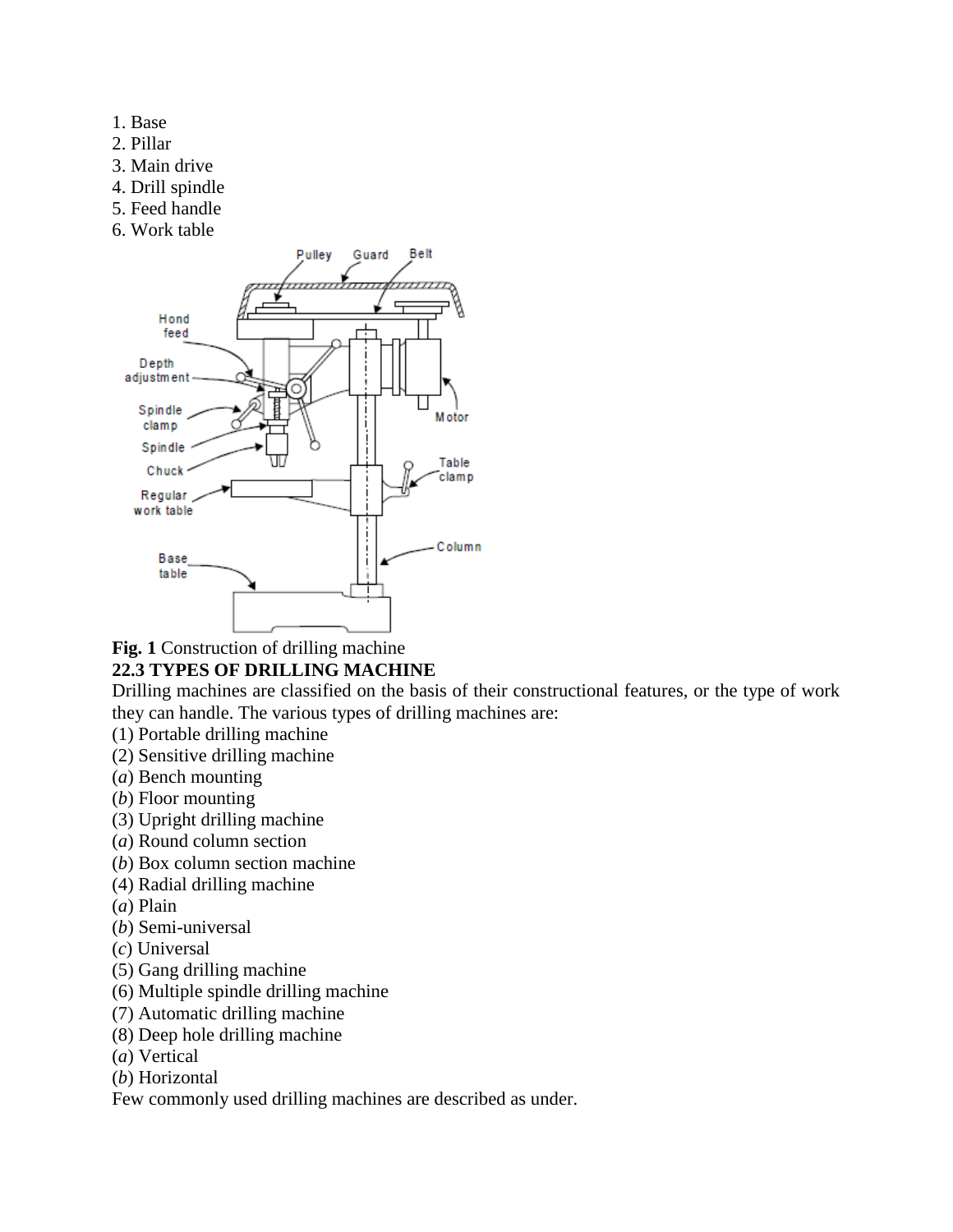- 1. Base
- 2. Pillar
- 3. Main drive
- 4. Drill spindle
- 5. Feed handle
- 6. Work table



**Fig. 1** Construction of drilling machine

## **22.3 TYPES OF DRILLING MACHINE**

Drilling machines are classified on the basis of their constructional features, or the type of work they can handle. The various types of drilling machines are:

- (1) Portable drilling machine
- (2) Sensitive drilling machine
- (*a*) Bench mounting
- (*b*) Floor mounting
- (3) Upright drilling machine
- (*a*) Round column section
- (*b*) Box column section machine
- (4) Radial drilling machine
- (*a*) Plain
- (*b*) Semi-universal
- (*c*) Universal
- (5) Gang drilling machine
- (6) Multiple spindle drilling machine
- (7) Automatic drilling machine
- (8) Deep hole drilling machine
- (*a*) Vertical
- (*b*) Horizontal

Few commonly used drilling machines are described as under.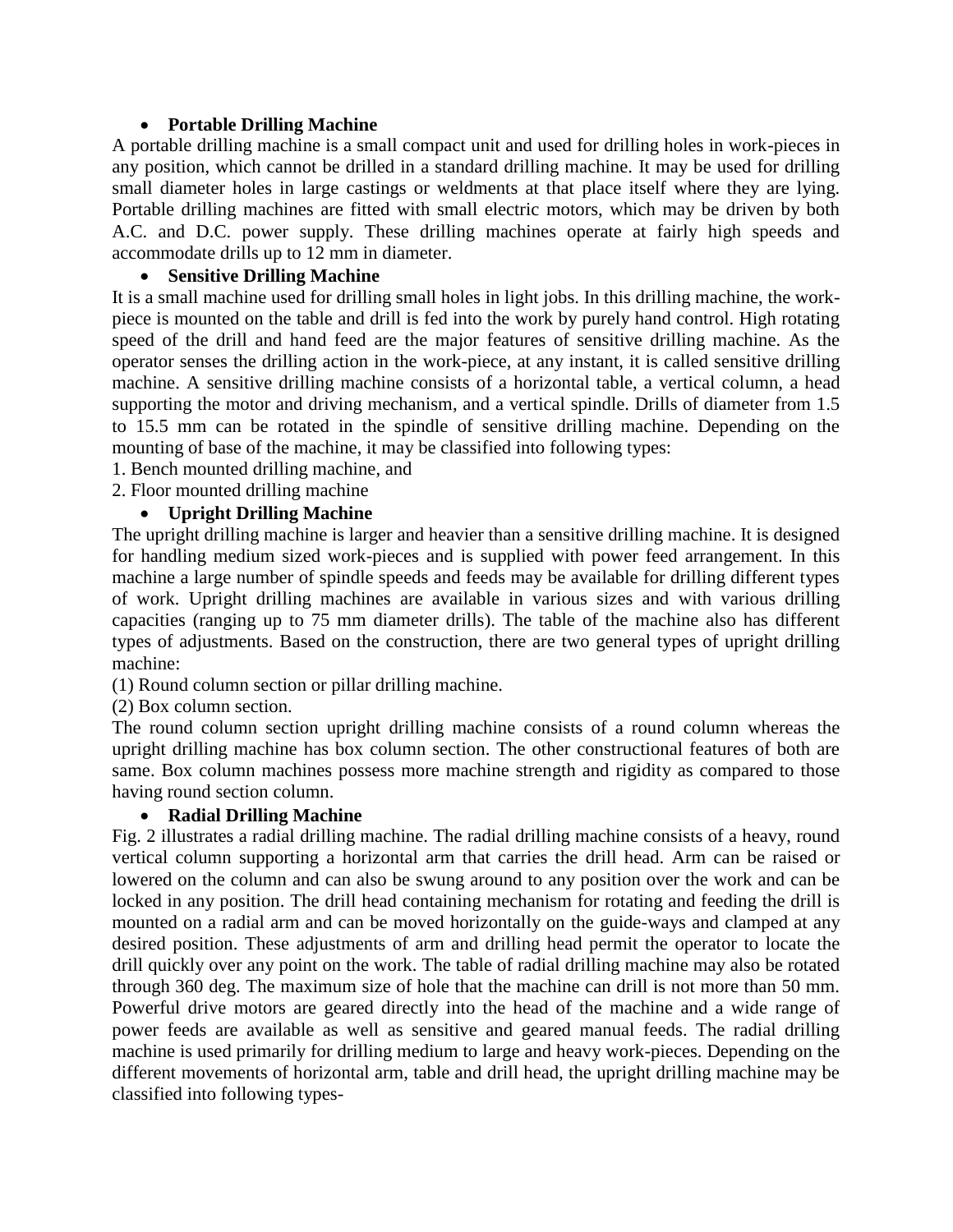#### **Portable Drilling Machine**

A portable drilling machine is a small compact unit and used for drilling holes in work-pieces in any position, which cannot be drilled in a standard drilling machine. It may be used for drilling small diameter holes in large castings or weldments at that place itself where they are lying. Portable drilling machines are fitted with small electric motors, which may be driven by both A.C. and D.C. power supply. These drilling machines operate at fairly high speeds and accommodate drills up to 12 mm in diameter.

#### **Sensitive Drilling Machine**

It is a small machine used for drilling small holes in light jobs. In this drilling machine, the workpiece is mounted on the table and drill is fed into the work by purely hand control. High rotating speed of the drill and hand feed are the major features of sensitive drilling machine. As the operator senses the drilling action in the work-piece, at any instant, it is called sensitive drilling machine. A sensitive drilling machine consists of a horizontal table, a vertical column, a head supporting the motor and driving mechanism, and a vertical spindle. Drills of diameter from 1.5 to 15.5 mm can be rotated in the spindle of sensitive drilling machine. Depending on the mounting of base of the machine, it may be classified into following types:

1. Bench mounted drilling machine, and

### 2. Floor mounted drilling machine

### **Upright Drilling Machine**

The upright drilling machine is larger and heavier than a sensitive drilling machine. It is designed for handling medium sized work-pieces and is supplied with power feed arrangement. In this machine a large number of spindle speeds and feeds may be available for drilling different types of work. Upright drilling machines are available in various sizes and with various drilling capacities (ranging up to 75 mm diameter drills). The table of the machine also has different types of adjustments. Based on the construction, there are two general types of upright drilling machine:

(1) Round column section or pillar drilling machine.

(2) Box column section.

The round column section upright drilling machine consists of a round column whereas the upright drilling machine has box column section. The other constructional features of both are same. Box column machines possess more machine strength and rigidity as compared to those having round section column.

#### **Radial Drilling Machine**

Fig. 2 illustrates a radial drilling machine. The radial drilling machine consists of a heavy, round vertical column supporting a horizontal arm that carries the drill head. Arm can be raised or lowered on the column and can also be swung around to any position over the work and can be locked in any position. The drill head containing mechanism for rotating and feeding the drill is mounted on a radial arm and can be moved horizontally on the guide-ways and clamped at any desired position. These adjustments of arm and drilling head permit the operator to locate the drill quickly over any point on the work. The table of radial drilling machine may also be rotated through 360 deg. The maximum size of hole that the machine can drill is not more than 50 mm. Powerful drive motors are geared directly into the head of the machine and a wide range of power feeds are available as well as sensitive and geared manual feeds. The radial drilling machine is used primarily for drilling medium to large and heavy work-pieces. Depending on the different movements of horizontal arm, table and drill head, the upright drilling machine may be classified into following types-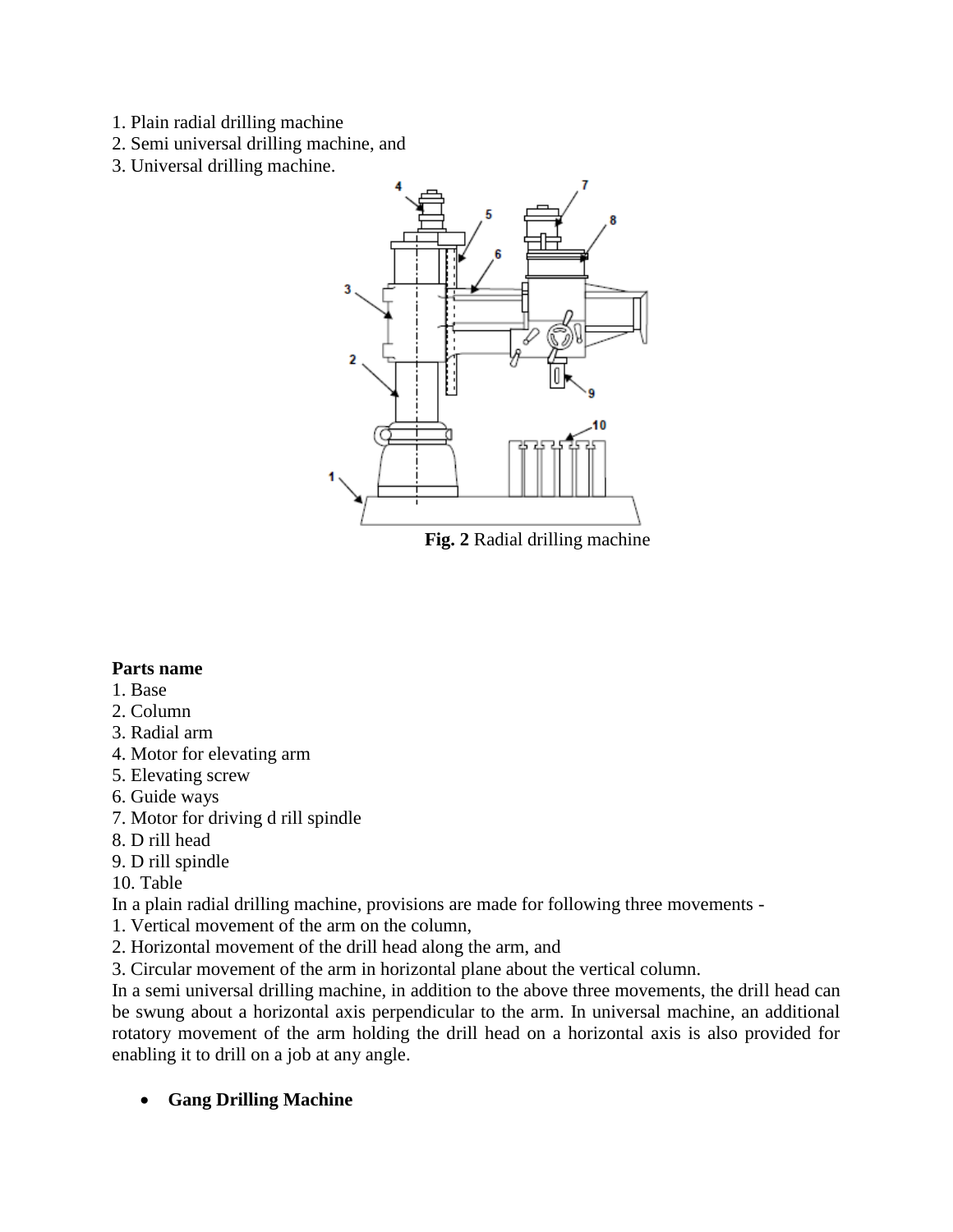- 1. Plain radial drilling machine
- 2. Semi universal drilling machine, and
- 3. Universal drilling machine.



 **Fig. 2** Radial drilling machine

#### **Parts name**

- 1. Base
- 2. Column
- 3. Radial arm
- 4. Motor for elevating arm
- 5. Elevating screw
- 6. Guide ways
- 7. Motor for driving d rill spindle
- 8. D rill head
- 9. D rill spindle

10. Table

In a plain radial drilling machine, provisions are made for following three movements -

1. Vertical movement of the arm on the column,

- 2. Horizontal movement of the drill head along the arm, and
- 3. Circular movement of the arm in horizontal plane about the vertical column.

In a semi universal drilling machine, in addition to the above three movements, the drill head can be swung about a horizontal axis perpendicular to the arm. In universal machine, an additional rotatory movement of the arm holding the drill head on a horizontal axis is also provided for enabling it to drill on a job at any angle.

**Gang Drilling Machine**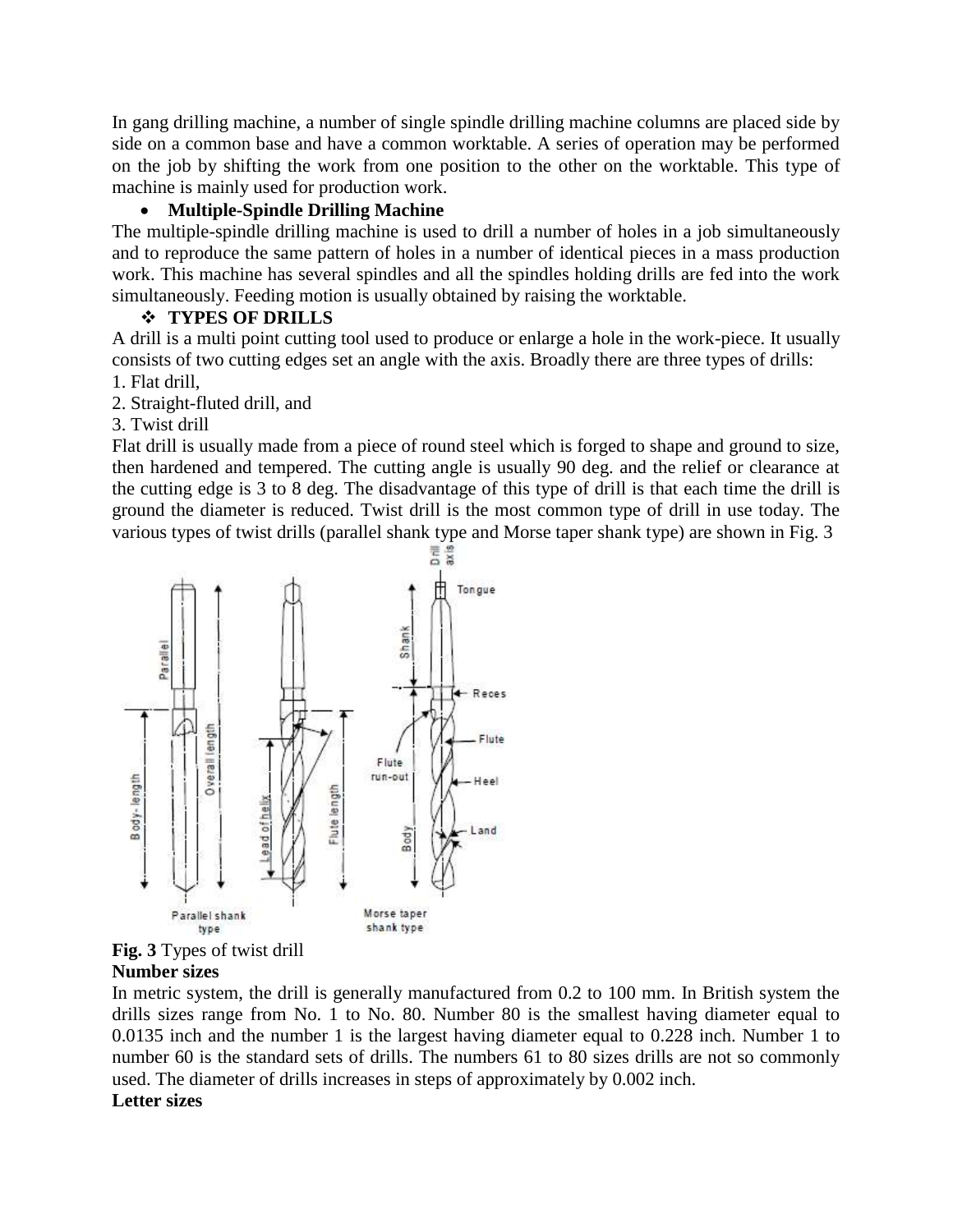In gang drilling machine, a number of single spindle drilling machine columns are placed side by side on a common base and have a common worktable. A series of operation may be performed on the job by shifting the work from one position to the other on the worktable. This type of machine is mainly used for production work.

### **Multiple-Spindle Drilling Machine**

The multiple-spindle drilling machine is used to drill a number of holes in a job simultaneously and to reproduce the same pattern of holes in a number of identical pieces in a mass production work. This machine has several spindles and all the spindles holding drills are fed into the work simultaneously. Feeding motion is usually obtained by raising the worktable.

### **TYPES OF DRILLS**

A drill is a multi point cutting tool used to produce or enlarge a hole in the work-piece. It usually consists of two cutting edges set an angle with the axis. Broadly there are three types of drills:

- 1. Flat drill,
- 2. Straight-fluted drill, and

3. Twist drill

Flat drill is usually made from a piece of round steel which is forged to shape and ground to size, then hardened and tempered. The cutting angle is usually 90 deg. and the relief or clearance at the cutting edge is 3 to 8 deg. The disadvantage of this type of drill is that each time the drill is ground the diameter is reduced. Twist drill is the most common type of drill in use today. The various types of twist drills (parallel shank type and Morse taper shank type) are shown in Fig. 3<br> $\frac{1}{5}$ 





In metric system, the drill is generally manufactured from 0.2 to 100 mm. In British system the drills sizes range from No. 1 to No. 80. Number 80 is the smallest having diameter equal to 0.0135 inch and the number 1 is the largest having diameter equal to 0.228 inch. Number 1 to number 60 is the standard sets of drills. The numbers 61 to 80 sizes drills are not so commonly used. The diameter of drills increases in steps of approximately by 0.002 inch.

### **Letter sizes**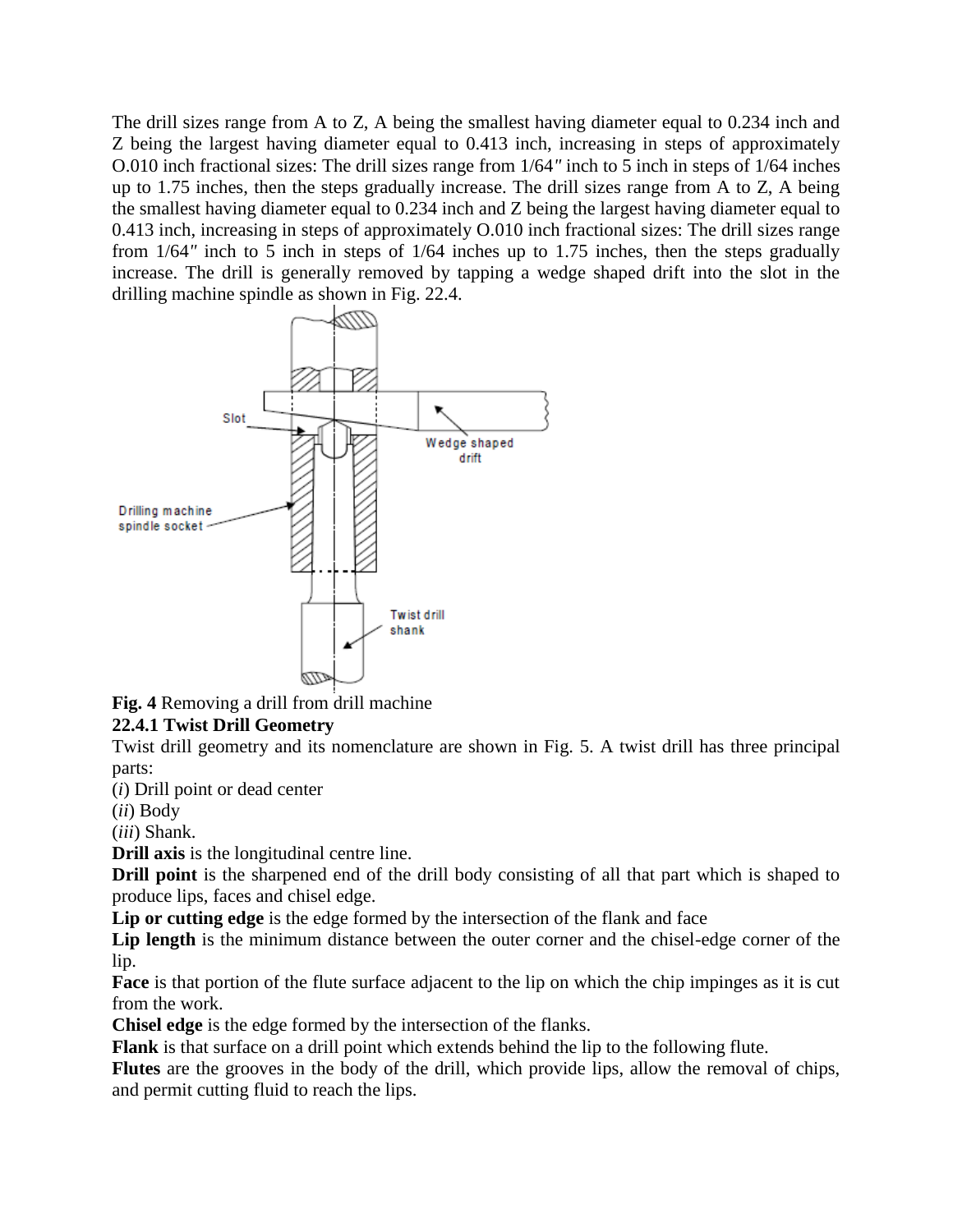The drill sizes range from A to Z, A being the smallest having diameter equal to 0.234 inch and Z being the largest having diameter equal to 0.413 inch, increasing in steps of approximately O.010 inch fractional sizes: The drill sizes range from 1/64*"* inch to 5 inch in steps of 1/64 inches up to 1.75 inches, then the steps gradually increase. The drill sizes range from A to Z, A being the smallest having diameter equal to 0.234 inch and Z being the largest having diameter equal to 0.413 inch, increasing in steps of approximately O.010 inch fractional sizes: The drill sizes range from 1/64*"* inch to 5 inch in steps of 1/64 inches up to 1.75 inches, then the steps gradually increase. The drill is generally removed by tapping a wedge shaped drift into the slot in the drilling machine spindle as shown in Fig. 22.4.



**Fig. 4** Removing a drill from drill machine

### **22.4.1 Twist Drill Geometry**

Twist drill geometry and its nomenclature are shown in Fig. 5. A twist drill has three principal parts:

(*i*) Drill point or dead center

(*ii*) Body

(*iii*) Shank.

**Drill axis** is the longitudinal centre line.

**Drill point** is the sharpened end of the drill body consisting of all that part which is shaped to produce lips, faces and chisel edge.

Lip or cutting edge is the edge formed by the intersection of the flank and face

**Lip length** is the minimum distance between the outer corner and the chisel-edge corner of the lip.

**Face** is that portion of the flute surface adjacent to the lip on which the chip impinges as it is cut from the work.

**Chisel edge** is the edge formed by the intersection of the flanks.

**Flank** is that surface on a drill point which extends behind the lip to the following flute.

**Flutes** are the grooves in the body of the drill, which provide lips, allow the removal of chips, and permit cutting fluid to reach the lips.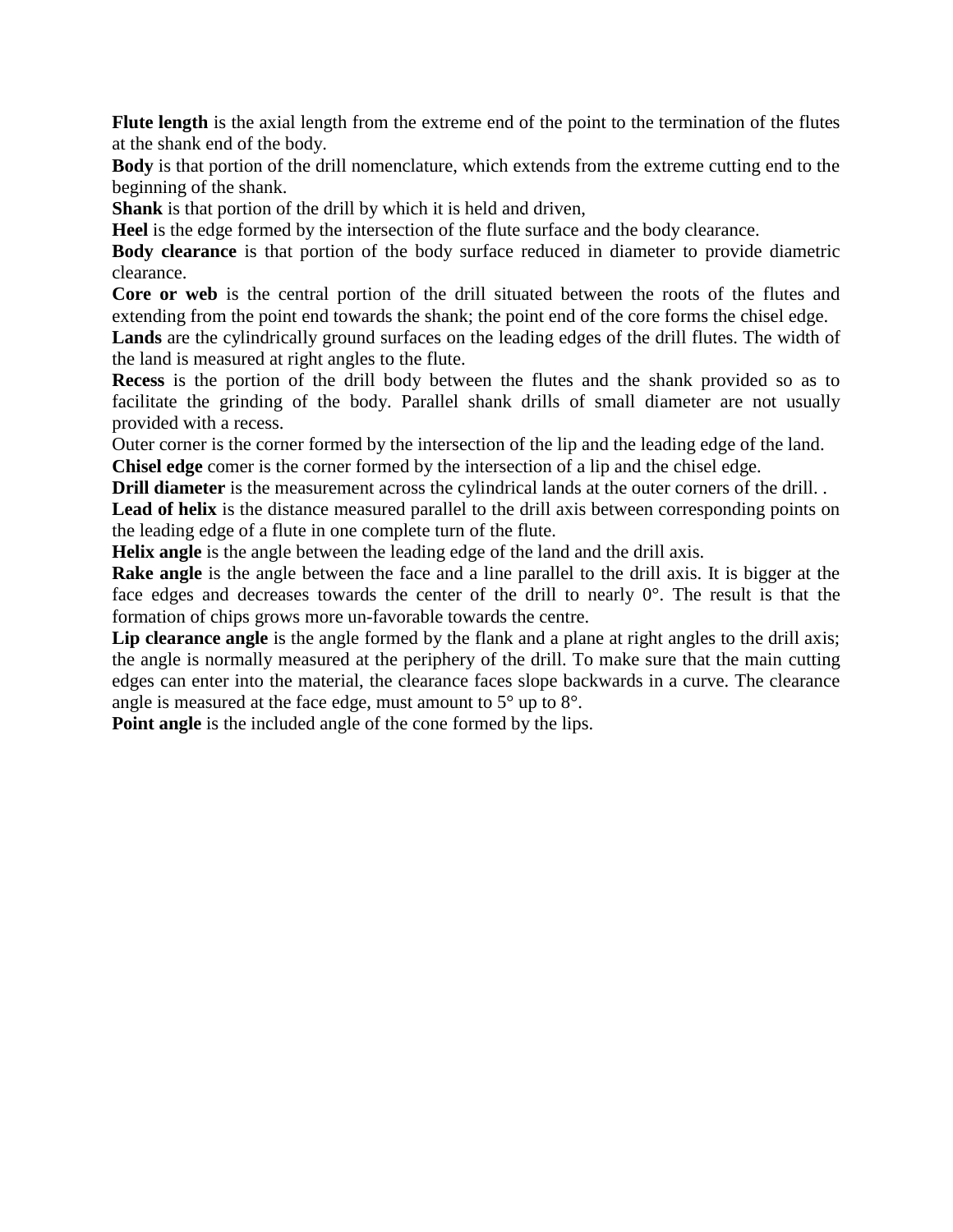**Flute length** is the axial length from the extreme end of the point to the termination of the flutes at the shank end of the body.

**Body** is that portion of the drill nomenclature, which extends from the extreme cutting end to the beginning of the shank.

**Shank** is that portion of the drill by which it is held and driven,

**Heel** is the edge formed by the intersection of the flute surface and the body clearance.

**Body clearance** is that portion of the body surface reduced in diameter to provide diametric clearance.

**Core or web** is the central portion of the drill situated between the roots of the flutes and extending from the point end towards the shank; the point end of the core forms the chisel edge.

**Lands** are the cylindrically ground surfaces on the leading edges of the drill flutes. The width of the land is measured at right angles to the flute.

**Recess** is the portion of the drill body between the flutes and the shank provided so as to facilitate the grinding of the body. Parallel shank drills of small diameter are not usually provided with a recess.

Outer corner is the corner formed by the intersection of the lip and the leading edge of the land.

**Chisel edge** comer is the corner formed by the intersection of a lip and the chisel edge.

**Drill diameter** is the measurement across the cylindrical lands at the outer corners of the drill. .

Lead of helix is the distance measured parallel to the drill axis between corresponding points on the leading edge of a flute in one complete turn of the flute.

**Helix angle** is the angle between the leading edge of the land and the drill axis.

**Rake angle** is the angle between the face and a line parallel to the drill axis. It is bigger at the face edges and decreases towards the center of the drill to nearly 0°. The result is that the formation of chips grows more un-favorable towards the centre.

Lip clearance angle is the angle formed by the flank and a plane at right angles to the drill axis; the angle is normally measured at the periphery of the drill. To make sure that the main cutting edges can enter into the material, the clearance faces slope backwards in a curve. The clearance angle is measured at the face edge, must amount to  $5^{\circ}$  up to  $8^{\circ}$ .

**Point angle** is the included angle of the cone formed by the lips.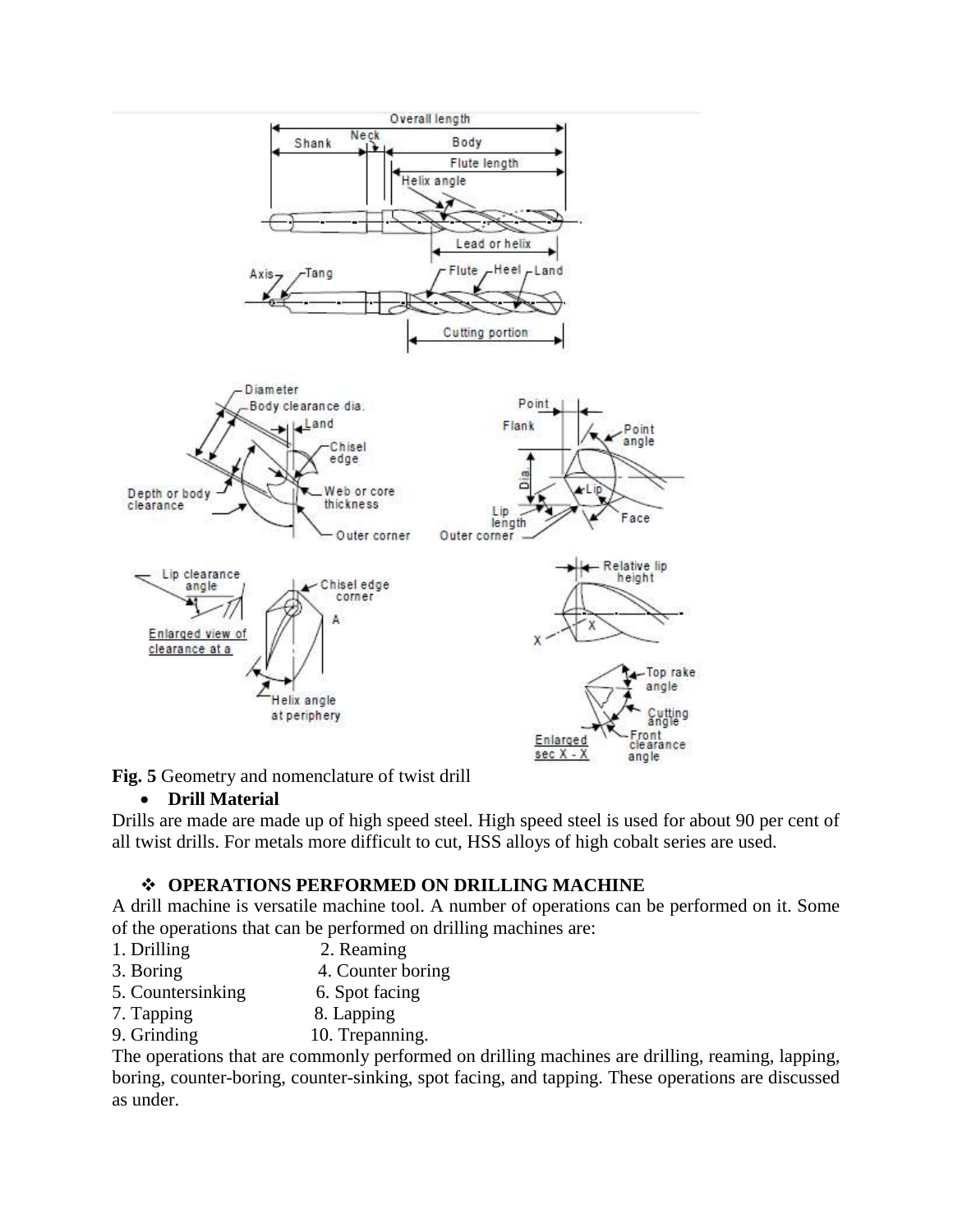

**Fig. 5** Geometry and nomenclature of twist drill

### **Drill Material**

Drills are made are made up of high speed steel. High speed steel is used for about 90 per cent of all twist drills. For metals more difficult to cut, HSS alloys of high cobalt series are used.

### **OPERATIONS PERFORMED ON DRILLING MACHINE**

A drill machine is versatile machine tool. A number of operations can be performed on it. Some of the operations that can be performed on drilling machines are:

- 1. Drilling 2. Reaming
- 
- 3. Boring 4. Counter boring
- 5. Countersinking 6. Spot facing
	-
- 7. Tapping 8. Lapping 9. Grinding 10. Trepanning.
- The operations that are commonly performed on drilling machines are drilling, reaming, lapping, boring, counter-boring, counter-sinking, spot facing, and tapping. These operations are discussed as under.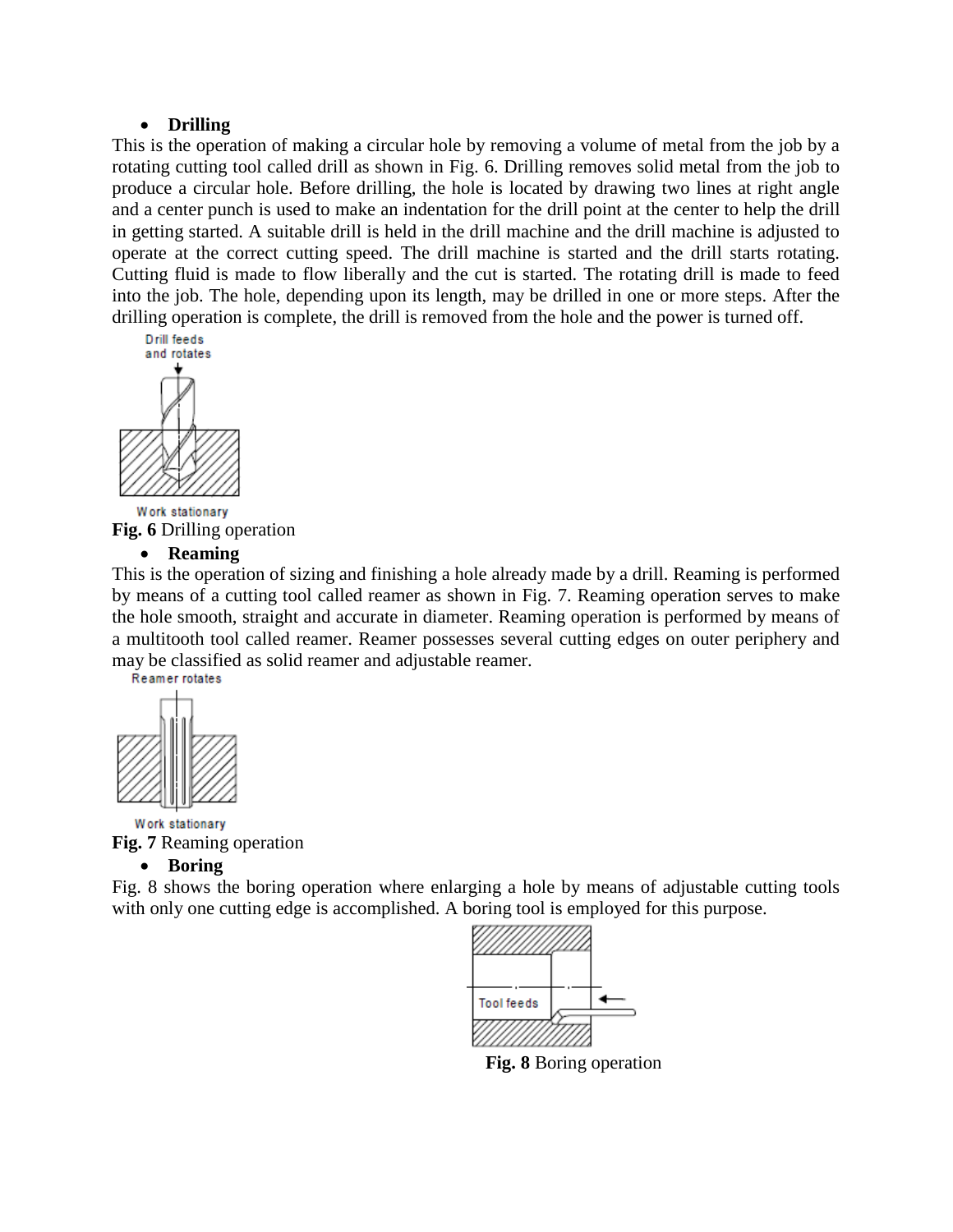#### **Drilling**

This is the operation of making a circular hole by removing a volume of metal from the job by a rotating cutting tool called drill as shown in Fig. 6. Drilling removes solid metal from the job to produce a circular hole. Before drilling, the hole is located by drawing two lines at right angle and a center punch is used to make an indentation for the drill point at the center to help the drill in getting started. A suitable drill is held in the drill machine and the drill machine is adjusted to operate at the correct cutting speed. The drill machine is started and the drill starts rotating. Cutting fluid is made to flow liberally and the cut is started. The rotating drill is made to feed into the job. The hole, depending upon its length, may be drilled in one or more steps. After the drilling operation is complete, the drill is removed from the hole and the power is turned off.



Work stationary **Fig. 6** Drilling operation

#### **Reaming**

This is the operation of sizing and finishing a hole already made by a drill. Reaming is performed by means of a cutting tool called reamer as shown in Fig. 7. Reaming operation serves to make the hole smooth, straight and accurate in diameter. Reaming operation is performed by means of a multitooth tool called reamer. Reamer possesses several cutting edges on outer periphery and may be classified as solid reamer and adjustable reamer.

Reamer rotates



Work stationary **Fig. 7** Reaming operation

### **Boring**

Fig. 8 shows the boring operation where enlarging a hole by means of adjustable cutting tools with only one cutting edge is accomplished. A boring tool is employed for this purpose.



 **Fig. 8** Boring operation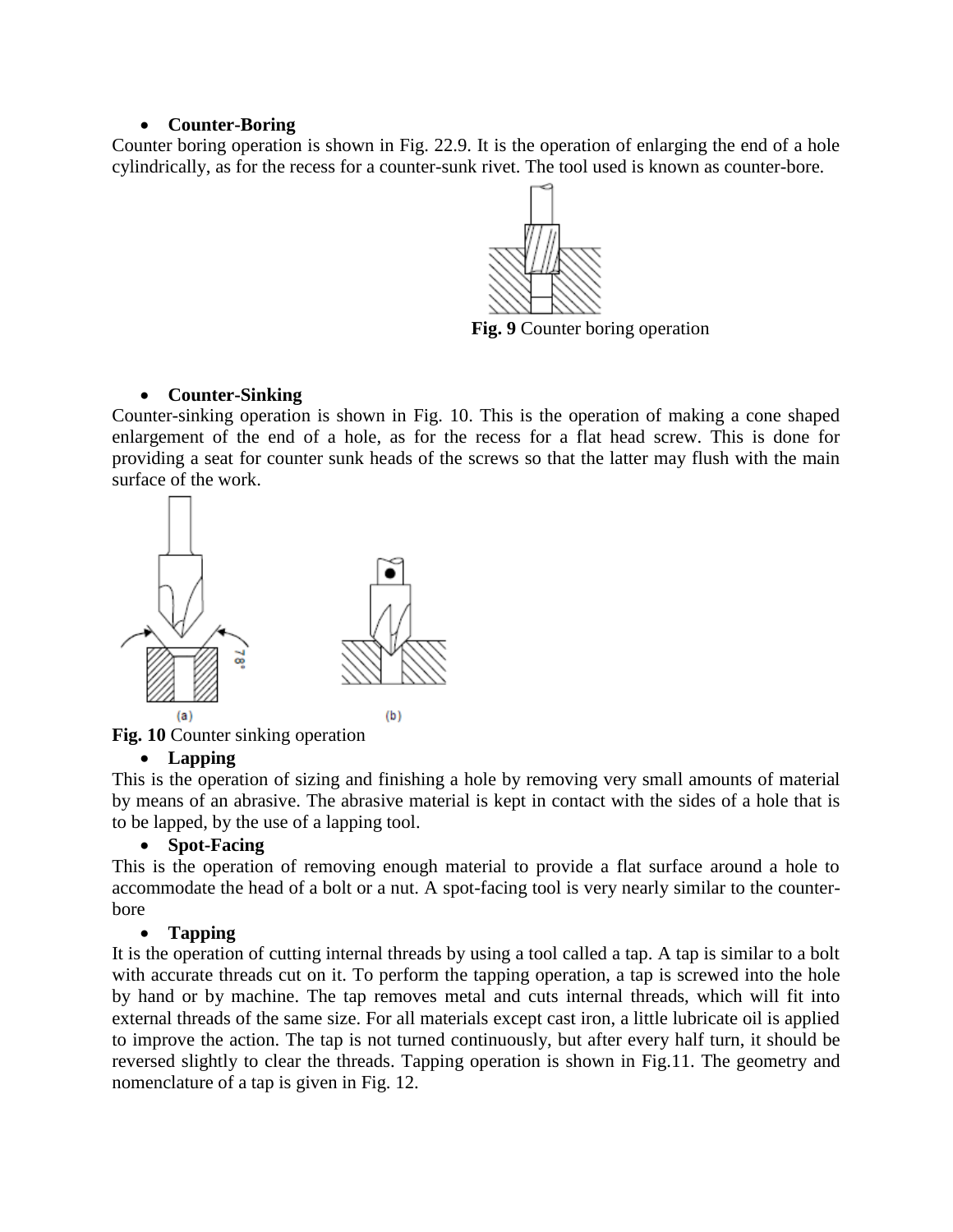#### **Counter-Boring**

Counter boring operation is shown in Fig. 22.9. It is the operation of enlarging the end of a hole cylindrically, as for the recess for a counter-sunk rivet. The tool used is known as counter-bore.



 **Fig. 9** Counter boring operation

### **Counter-Sinking**

Counter-sinking operation is shown in Fig. 10. This is the operation of making a cone shaped enlargement of the end of a hole, as for the recess for a flat head screw. This is done for providing a seat for counter sunk heads of the screws so that the latter may flush with the main surface of the work.



**Fig. 10** Counter sinking operation

### **Lapping**

This is the operation of sizing and finishing a hole by removing very small amounts of material by means of an abrasive. The abrasive material is kept in contact with the sides of a hole that is to be lapped, by the use of a lapping tool.

### **Spot-Facing**

This is the operation of removing enough material to provide a flat surface around a hole to accommodate the head of a bolt or a nut. A spot-facing tool is very nearly similar to the counterbore

### **Tapping**

It is the operation of cutting internal threads by using a tool called a tap. A tap is similar to a bolt with accurate threads cut on it. To perform the tapping operation, a tap is screwed into the hole by hand or by machine. The tap removes metal and cuts internal threads, which will fit into external threads of the same size. For all materials except cast iron, a little lubricate oil is applied to improve the action. The tap is not turned continuously, but after every half turn, it should be reversed slightly to clear the threads. Tapping operation is shown in Fig.11. The geometry and nomenclature of a tap is given in Fig. 12.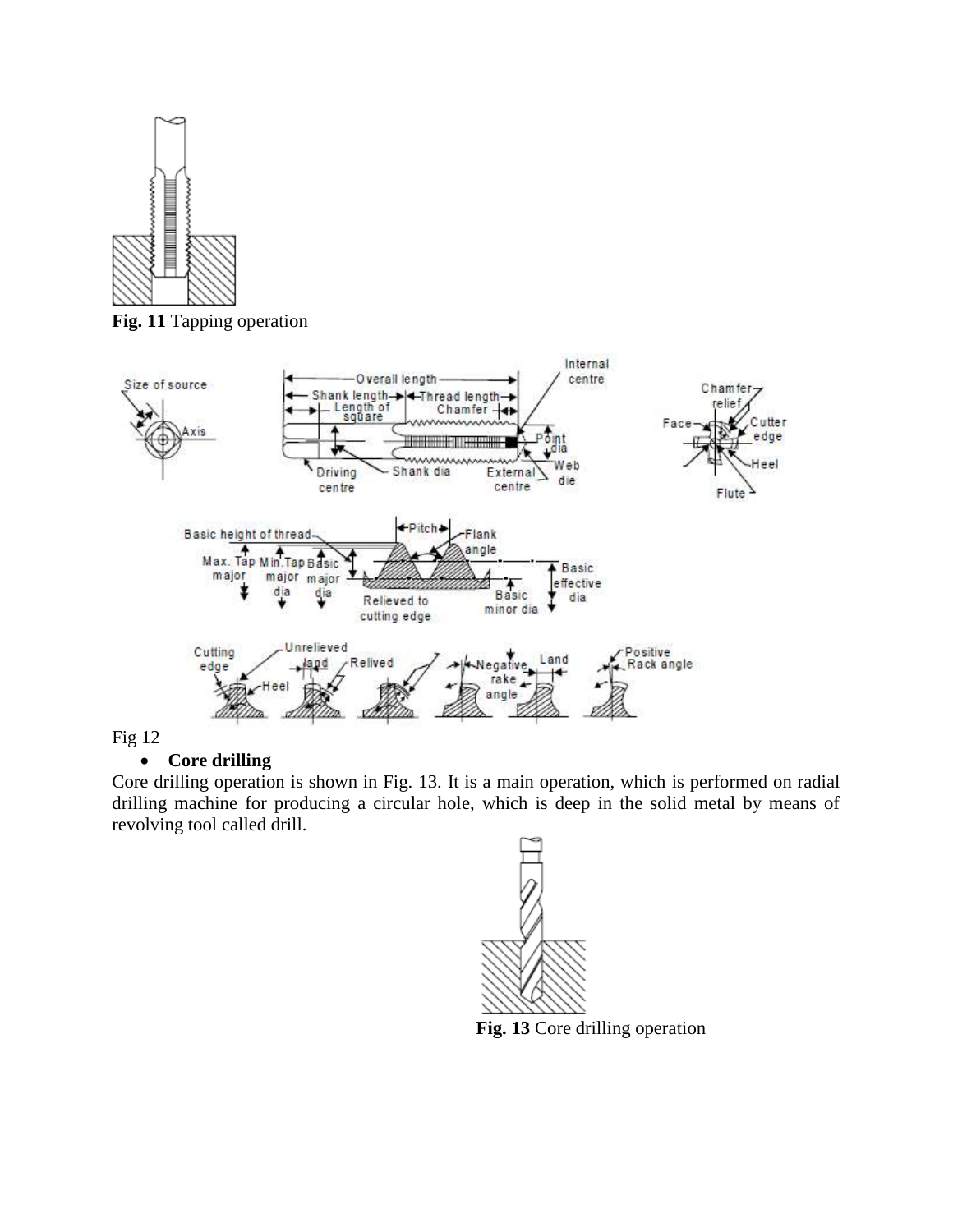

**Fig. 11** Tapping operation



Fig 12

### **Core drilling**

Core drilling operation is shown in Fig. 13. It is a main operation, which is performed on radial drilling machine for producing a circular hole, which is deep in the solid metal by means of revolving tool called drill.



 **Fig. 13** Core drilling operation